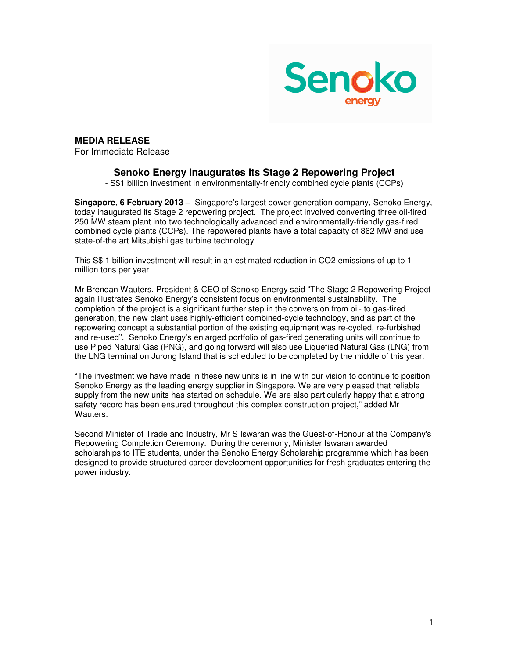

## **MEDIA RELEASE**

For Immediate Release

## **Senoko Energy Inaugurates Its Stage 2 Repowering Project**

- S\$1 billion investment in environmentally-friendly combined cycle plants (CCPs)

**Singapore, 6 February 2013 –** Singapore's largest power generation company, Senoko Energy, today inaugurated its Stage 2 repowering project. The project involved converting three oil-fired 250 MW steam plant into two technologically advanced and environmentally-friendly gas-fired combined cycle plants (CCPs). The repowered plants have a total capacity of 862 MW and use state-of-the art Mitsubishi gas turbine technology.

This S\$ 1 billion investment will result in an estimated reduction in CO2 emissions of up to 1 million tons per year.

Mr Brendan Wauters, President & CEO of Senoko Energy said "The Stage 2 Repowering Project again illustrates Senoko Energy's consistent focus on environmental sustainability. The completion of the project is a significant further step in the conversion from oil- to gas-fired generation, the new plant uses highly-efficient combined-cycle technology, and as part of the repowering concept a substantial portion of the existing equipment was re-cycled, re-furbished and re-used". Senoko Energy's enlarged portfolio of gas-fired generating units will continue to use Piped Natural Gas (PNG), and going forward will also use Liquefied Natural Gas (LNG) from the LNG terminal on Jurong Island that is scheduled to be completed by the middle of this year.

"The investment we have made in these new units is in line with our vision to continue to position Senoko Energy as the leading energy supplier in Singapore. We are very pleased that reliable supply from the new units has started on schedule. We are also particularly happy that a strong safety record has been ensured throughout this complex construction project," added Mr Wauters

Second Minister of Trade and Industry, Mr S Iswaran was the Guest-of-Honour at the Company's Repowering Completion Ceremony. During the ceremony, Minister Iswaran awarded scholarships to ITE students, under the Senoko Energy Scholarship programme which has been designed to provide structured career development opportunities for fresh graduates entering the power industry.